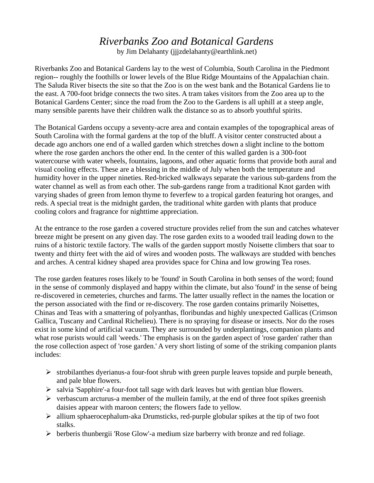## *Riverbanks Zoo and Botanical Gardens*

by Jim Delahanty (jjjzdelahanty@earthlink.net)

Riverbanks Zoo and Botanical Gardens lay to the west of Columbia, South Carolina in the Piedmont region-- roughly the foothills or lower levels of the Blue Ridge Mountains of the Appalachian chain. The Saluda River bisects the site so that the Zoo is on the west bank and the Botanical Gardens lie to the east. A 700-foot bridge connects the two sites. A tram takes visitors from the Zoo area up to the Botanical Gardens Center; since the road from the Zoo to the Gardens is all uphill at a steep angle, many sensible parents have their children walk the distance so as to absorb youthful spirits.

The Botanical Gardens occupy a seventy-acre area and contain examples of the topographical areas of South Carolina with the formal gardens at the top of the bluff. A visitor center constructed about a decade ago anchors one end of a walled garden which stretches down a slight incline to the bottom where the rose garden anchors the other end. In the center of this walled garden is a 300-foot watercourse with water wheels, fountains, lagoons, and other aquatic forms that provide both aural and visual cooling effects. These are a blessing in the middle of July when both the temperature and humidity hover in the upper nineties. Red-bricked walkways separate the various sub-gardens from the water channel as well as from each other. The sub-gardens range from a traditional Knot garden with varying shades of green from lemon thyme to feverfew to a tropical garden featuring hot oranges, and reds. A special treat is the midnight garden, the traditional white garden with plants that produce cooling colors and fragrance for nighttime appreciation.

At the entrance to the rose garden a covered structure provides relief from the sun and catches whatever breeze might be present on any given day. The rose garden exits to a wooded trail leading down to the ruins of a historic textile factory. The walls of the garden support mostly Noisette climbers that soar to twenty and thirty feet with the aid of wires and wooden posts. The walkways are studded with benches and arches. A central kidney shaped area provides space for China and low growing Tea roses.

The rose garden features roses likely to be 'found' in South Carolina in both senses of the word; found in the sense of commonly displayed and happy within the climate, but also 'found' in the sense of being re-discovered in cemeteries, churches and farms. The latter usually reflect in the names the location or the person associated with the find or re-discovery. The rose garden contains primarily Noisettes, Chinas and Teas with a smattering of polyanthas, floribundas and highly unexpected Gallicas (Crimson Gallica, Tuscany and Cardinal Richelieu). There is no spraying for disease or insects. Nor do the roses exist in some kind of artificial vacuum. They are surrounded by underplantings, companion plants and what rose purists would call 'weeds.' The emphasis is on the garden aspect of 'rose garden' rather than the rose collection aspect of 'rose garden.' A very short listing of some of the striking companion plants includes:

- ➢ strobilanthes dyerianus-a four-foot shrub with green purple leaves topside and purple beneath, and pale blue flowers.
- ➢ salvia 'Sapphire'-a four-foot tall sage with dark leaves but with gentian blue flowers.
- $\triangleright$  verbascum arcturus-a member of the mullein family, at the end of three foot spikes greenish daisies appear with maroon centers; the flowers fade to yellow.
- ➢ allium sphaerocephalum-aka Drumsticks, red-purple globular spikes at the tip of two foot stalks.
- ➢ berberis thunbergii 'Rose Glow'-a medium size barberry with bronze and red foliage.